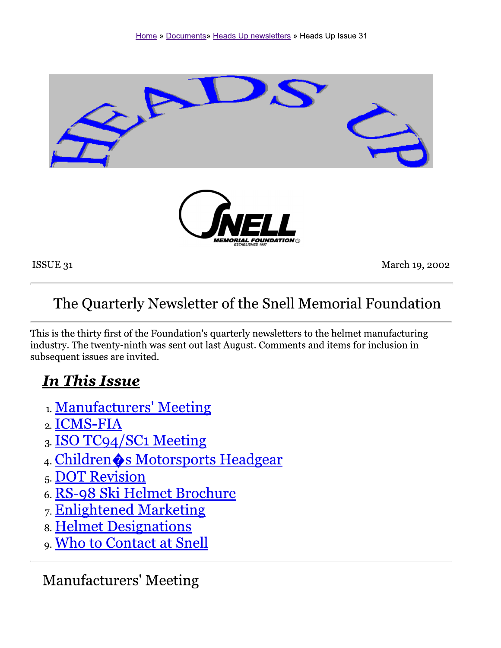

ISSUE 31

March 19, 2002

## The Quarterly Newsletter of the Snell Memorial Foundation

This is the thirty first of the Foundation's quarterly newsletters to the helmet manufacturing industry. The twenty-ninth was sent out last August. Comments and items for inclusion in subsequent issues are invited.

### **In This Issue**

- 1. Manufacturers' Meeting
- 2. ICMS-FIA
- 3. ISO TC94/SC1 Meeting
- 4. Children & Motorsports Headgear
- 5. DOT Revision
- 6. RS-98 Ski Helmet Brochure
- 7. Enlightened Marketing
- **8. Helmet Designations**
- 9. Who to Contact at Snell

### **Manufacturers' Meeting**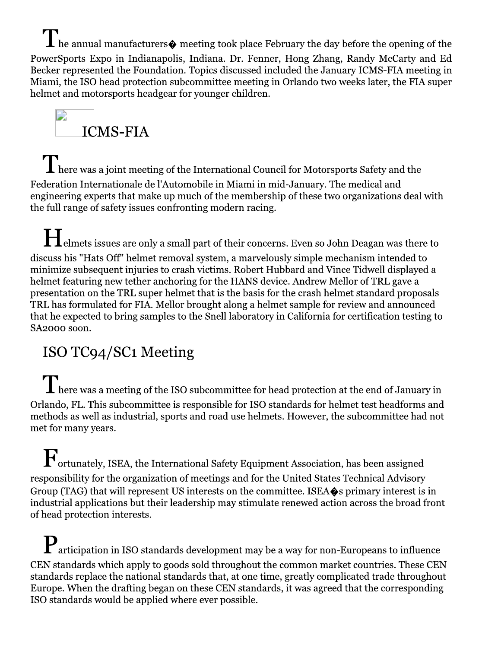$\mathbf{I}$  he annual manufacturers $\mathbf{\hat{\bullet}}$  meeting took place February the day before the opening of the PowerSports Expo in Indianapolis, Indiana. Dr. Fenner, Hong Zhang, Randy McCarty and Ed Becker represented the Foundation. Topics discussed included the January ICMS-FIA meeting in Miami, the ISO head protection subcommittee meeting in Orlando two weeks later, the FIA super helmet and motorsports headgear for younger children.



 $\mathbf T$  here was a joint meeting of the International Council for Motorsports Safety and the Federation Internationale de l'Automobile in Miami in mid-January. The medical and engineering experts that make up much of the membership of these two organizations deal with the full range of safety issues confronting modern racing.

 $\prod$ elmets issues are only a small part of their concerns. Even so John Deagan was there to discuss his "Hats Off" helmet removal system, a marvelously simple mechanism intended to minimize subsequent injuries to crash victims. Robert Hubbard and Vince Tidwell displayed a helmet featuring new tether anchoring for the HANS device. Andrew Mellor of TRL gave a presentation on the TRL super helmet that is the basis for the crash helmet standard proposals TRL has formulated for FIA. Mellor brought along a helmet sample for review and announced that he expected to bring samples to the Snell laboratory in California for certification testing to SA2000 soon.

### ISO TC94/SC1 Meeting

 $\prod$  here was a meeting of the ISO subcommittee for head protection at the end of January in Orlando, FL. This subcommittee is responsible for ISO standards for helmet test headforms and methods as well as industrial, sports and road use helmets. However, the subcommittee had not met for many years.

 $\mathbf F$ ortunately, ISEA, the International Safety Equipment Association, has been assigned responsibility for the organization of meetings and for the United States Technical Advisory Group (TAG) that will represent US interests on the committee. ISEA $\diamond$ s primary interest is in industrial applications but their leadership may stimulate renewed action across the broad front of head protection interests.

 $\mathbf P$  articipation in ISO standards development may be a way for non-Europeans to influence CEN standards which apply to goods sold throughout the common market countries. These CEN standards replace the national standards that, at one time, greatly complicated trade throughout Europe. When the drafting began on these CEN standards, it was agreed that the corresponding ISO standards would be applied where ever possible.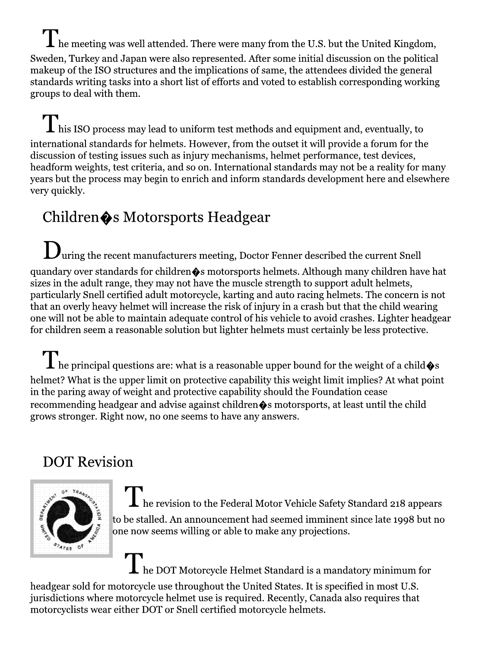$\mathbf{I}$  he meeting was well attended. There were many from the U.S. but the United Kingdom, Sweden, Turkey and Japan were also represented. After some initial discussion on the political makeup of the ISO structures and the implications of same, the attendees divided the general standards writing tasks into a short list of efforts and voted to establish corresponding working groups to deal with them.

 $\mathbf{I}$  his ISO process may lead to uniform test methods and equipment and, eventually, to international standards for helmets. However, from the outset it will provide a forum for the discussion of testing issues such as injury mechanisms, helmet performance, test devices, headform weights, test criteria, and so on. International standards may not be a reality for many years but the process may begin to enrich and inform standards development here and elsewhere very quickly.

# Children $\spadesuit$ s Motorsports Headgear

 $\mathbf{D}_{\text{uring the recent manufacturers meeting, Doctor Fenner described the current Snell}$ quandary over standards for children $\clubsuit$ s motorsports helmets. Although many children have hat sizes in the adult range, they may not have the muscle strength to support adult helmets, particularly Snell certified adult motorcycle, karting and auto racing helmets. The concern is not that an overly heavy helmet will increase the risk of injury in a crash but that the child wearing one will not be able to maintain adequate control of his vehicle to avoid crashes. Lighter headgear for children seem a reasonable solution but lighter helmets must certainly be less protective.

 $\blacktriangle$  he principal questions are: what is a reasonable upper bound for the weight of a child  $\blacklozenge$ s helmet? What is the upper limit on protective capability this weight limit implies? At what point in the paring away of weight and protective capability should the Foundation cease recommending headgear and advise against children  $\hat{\bullet}$ s motorsports, at least until the child grows stronger. Right now, no one seems to have any answers.

## **DOT Revision**



he revision to the Federal Motor Vehicle Safety Standard 218 appears to be stalled. An announcement had seemed imminent since late 1998 but no one now seems willing or able to make any projections.

The DOT Motorcycle Helmet Standard is a mandatory minimum for

headgear sold for motorcycle use throughout the United States. It is specified in most U.S. jurisdictions where motorcycle helmet use is required. Recently, Canada also requires that motorcyclists wear either DOT or Snell certified motorcycle helmets.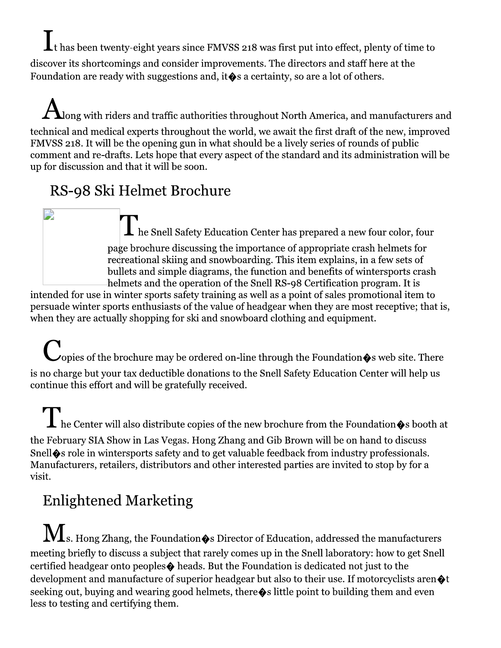$\coprod_{\text{t}}$  has been twenty-eight years since FMVSS 218 was first put into effect, plenty of time to discover its shortcomings and consider improvements. The directors and staff here at the Foundation are ready with suggestions and, it  $\diamond$  s a certainty, so are a lot of others.

 $\bigtriangleup_{\!\!1}$ ong with riders and traffic authorities throughout North America, and manufacturers and technical and medical experts throughout the world, we await the first draft of the new, improved FMVSS 218. It will be the opening gun in what should be a lively series of rounds of public comment and re-drafts. Lets hope that every aspect of the standard and its administration will be up for discussion and that it will be soon.

## RS-98 Ski Helmet Brochure

 $\prod$  he Snell Safety Education Center has prepared a new four color, four page brochure discussing the importance of appropriate crash helmets for recreational skiing and snowboarding. This item explains, in a few sets of bullets and simple diagrams, the function and benefits of wintersports crash helmets and the operation of the Snell RS-98 Certification program. It is

intended for use in winter sports safety training as well as a point of sales promotional item to persuade winter sports enthusiasts of the value of headgear when they are most receptive; that is, when they are actually shopping for ski and snowboard clothing and equipment.

◯ opies of the brochure may be ordered on-line through the Foundation�s web site. There is no charge but your tax deductible donations to the Snell Safety Education Center will help us continue this effort and will be gratefully received.

 $\displaystyle\prod$  he Center will also distribute copies of the new brochure from the Foundation  $\hat{\bullet}$ s booth at the February SIA Show in Las Vegas. Hong Zhang and Gib Brown will be on hand to discuss Snell $\hat{\mathbf{\bullet}}$ s role in wintersports safety and to get valuable feedback from industry professionals. Manufacturers, retailers, distributors and other interested parties are invited to stop by for a visit.

# **Enlightened Marketing**

 $\bf{M}$ s. Hong Zhang, the Foundation $\bm{\bullet}$ s Director of Education, addressed the manufacturers meeting briefly to discuss a subject that rarely comes up in the Snell laboratory: how to get Snell certified headgear onto peoples  $\Diamond$  heads. But the Foundation is dedicated not just to the development and manufacture of superior headgear but also to their use. If motorcyclists aren  $\otimes$ t seeking out, buying and wearing good helmets, there  $\bullet$  s little point to building them and even less to testing and certifying them.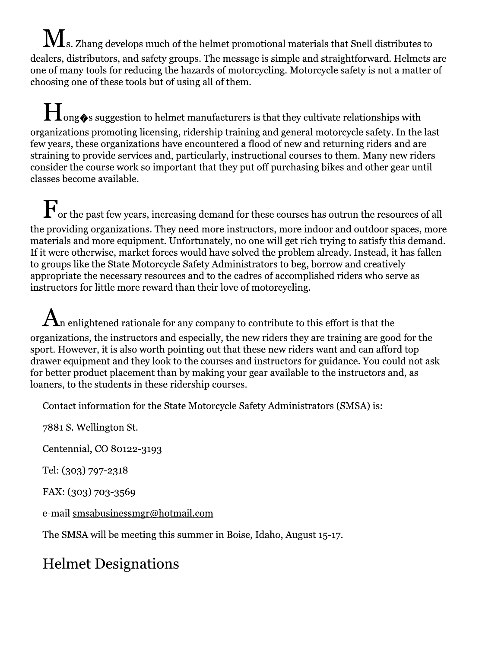$\bf M$ s. Zhang develops much of the helmet promotional materials that Snell distributes to dealers, distributors, and safety groups. The message is simple and straightforward. Helmets are one of many tools for reducing the hazards of motorcycling. Motorcycle safety is not a matter of choosing one of these tools but of using all of them.

**H** ong�s suggestion to helmet manufacturers is that they cultivate relationships with organizations promoting licensing, ridership training and general motorcycle safety. In the last few years, these organizations have encountered a flood of new and returning riders and are straining to provide services and, particularly, instructional courses to them. Many new riders consider the course work so important that they put off purchasing bikes and other gear until classes become available.

 $\mathbf{F}_{\text{or}}$  the past few years, increasing demand for these courses has outrun the resources of all the providing organizations. They need more instructors, more indoor and outdoor spaces, more materials and more equipment. Unfortunately, no one will get rich trying to satisfy this demand. If it were otherwise, market forces would have solved the problem already. Instead, it has fallen to groups like the State Motorcycle Safety Administrators to beg, borrow and creatively appropriate the necessary resources and to the cadres of accomplished riders who serve as instructors for little more reward than their love of motorcycling.

 ${\boldsymbol{A}}$ n enlightened rationale for any company to contribute to this effort is that the organizations, the instructors and especially, the new riders they are training are good for the sport. However, it is also worth pointing out that these new riders want and can afford top drawer equipment and they look to the courses and instructors for guidance. You could not ask for better product placement than by making your gear available to the instructors and, as loaners, to the students in these ridership courses.

Contact information for the State Motorcycle Safety Administrators (SMSA) is:

7881 S. Wellington St.

Centennial, CO 80122-3193

Tel: (303) 797-2318

FAX: (303) 703-3569

e-mail smsabusinessmgr@hotmail.com

The SMSA will be meeting this summer in Boise, Idaho, August 15-17.

## **Helmet Designations**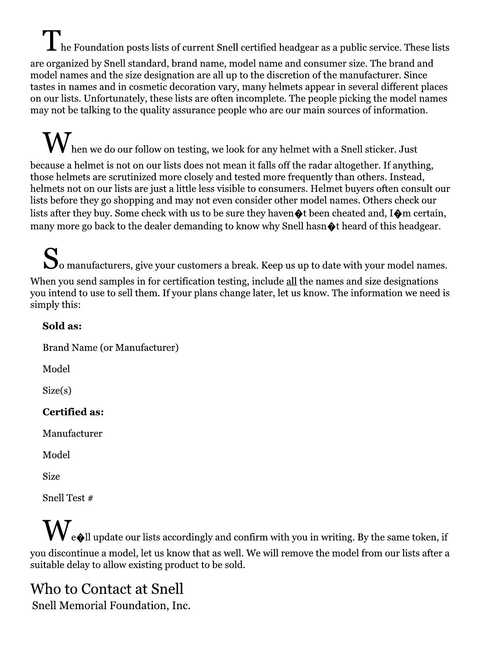$\prod\nolimits_{\text{he}}$  Foundation posts lists of current Snell certified headgear as a public service. These lists are organized by Snell standard, brand name, model name and consumer size. The brand and model names and the size designation are all up to the discretion of the manufacturer. Since tastes in names and in cosmetic decoration vary, many helmets appear in several different places on our lists. Unfortunately, these lists are often incomplete. The people picking the model names may not be talking to the quality assurance people who are our main sources of information.

 $\bigvee$  hen we do our follow on testing, we look for any helmet with a Snell sticker. Just because a helmet is not on our lists does not mean it falls off the radar altogether. If anything, those helmets are scrutinized more closely and tested more frequently than others. Instead, helmets not on our lists are just a little less visible to consumers. Helmet buyers often consult our lists before they go shopping and may not even consider other model names. Others check our lists after they buy. Some check with us to be sure they haven  $\otimes$  been cheated and, I $\otimes$ m certain, many more go back to the dealer demanding to know why Snell hasn  $\bullet$  theard of this headgear.

So manufacturers, give your customers a break. Keep us up to date with your model names. When you send samples in for certification testing, include all the names and size designations you intend to use to sell them. If your plans change later, let us know. The information we need is simply this:

#### Sold as:

**Brand Name (or Manufacturer)** 

Model

 $Size(s)$ 

#### **Certified as:**

Manufacturer

Model

**Size** 

Snell Test #

 $\bigvee_{\mathbf{e}\otimes\mathbf{l}}$  update our lists accordingly and confirm with you in writing. By the same token, if you discontinue a model, let us know that as well. We will remove the model from our lists after a suitable delay to allow existing product to be sold.

#### Who to Contact at Snell Snell Memorial Foundation, Inc.